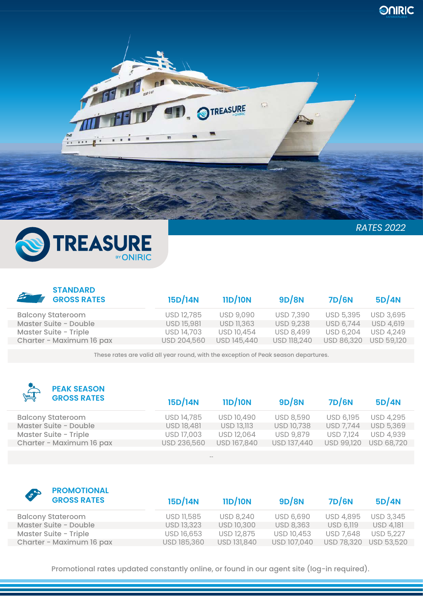



| <b>STANDARD</b><br>$4 -$<br><b>GROSS RATES</b> | 15D/14N     | 11D/10N           | 9D/8N              | 7D/6N      | 5D/4N             |
|------------------------------------------------|-------------|-------------------|--------------------|------------|-------------------|
| <b>Balcony Stateroom</b>                       | USD 12,785  | <b>USD 9,090</b>  | <b>USD 7,390</b>   | USD 5,395  | <b>USD 3,695</b>  |
| Master Suite - Double                          | USD 15,981  | <b>USD 11,363</b> | <b>USD 9,238</b>   | USD 6,744  | <b>USD 4,619</b>  |
| Master Suite - Triple                          | USD 14,703  | USD 10,454        | <b>USD 8,499</b>   | USD 6,204  | <b>USD 4,249</b>  |
| Charter - Maximum 16 pax                       | USD 204,560 | USD 145,440       | <b>USD 118,240</b> | USD 86,320 | <b>USD 59,120</b> |
|                                                |             |                   |                    |            |                   |

These rates are valid all year round, with the exception of Peak season departures.

| $\sum_{n=1}^{\infty}$<br><b>PEAK SEASON</b><br><b>GROSS RATES</b> | 15D/14N           | 11D/10N           | 9D/8N             | 7D/6N            | 5D/4N            |
|-------------------------------------------------------------------|-------------------|-------------------|-------------------|------------------|------------------|
| <b>Balcony Stateroom</b>                                          | USD 14,785        | USD 10,490        | <b>USD 8,590</b>  | USD 6,195        | <b>USD 4,295</b> |
| Master Suite - Double                                             | <b>USD 18,481</b> | <b>USD 13,113</b> | <b>USD 10,738</b> | <b>USD 7,744</b> | USD 5,369        |
| Master Suite - Triple                                             | USD 17,003        | USD 12,064        | <b>USD 9,879</b>  | <b>USD 7,124</b> | <b>USD 4,939</b> |
| Charter - Maximum 16 pax                                          | USD 236,560       | USD 167,840       | USD 137,440       | USD 99,120       | USD 68,720       |
|                                                                   |                   |                   |                   |                  |                  |

--

| <b>PROMOTIONAL</b><br>Lyn<br><b>GROSS RATES</b> | 15D/14N           | 11D/10N           | 9D/8N            | 7D/6N             | 5D/4N            |
|-------------------------------------------------|-------------------|-------------------|------------------|-------------------|------------------|
| <b>Balcony Stateroom</b>                        | USD 11,585        | <b>USD 8,240</b>  | <b>USD 6,690</b> | <b>USD 4,895</b>  | <b>USD 3,345</b> |
| Master Suite - Double                           | <b>USD 13,323</b> | <b>USD 10,300</b> | <b>USD 8,363</b> | <b>USD 6,119</b>  | <b>USD 4,181</b> |
| Master Suite - Triple                           | USD 16,653        | USD 12,875        | USD 10,453       | USD 7,648         | <b>USD 5,227</b> |
| Charter - Maximum 16 pax                        | USD 185,360       | USD 131,840       | USD 107,040      | <b>USD 78,320</b> | USD 53,520       |

Promotional rates updated constantly online, or found in our agent site (log-in required).